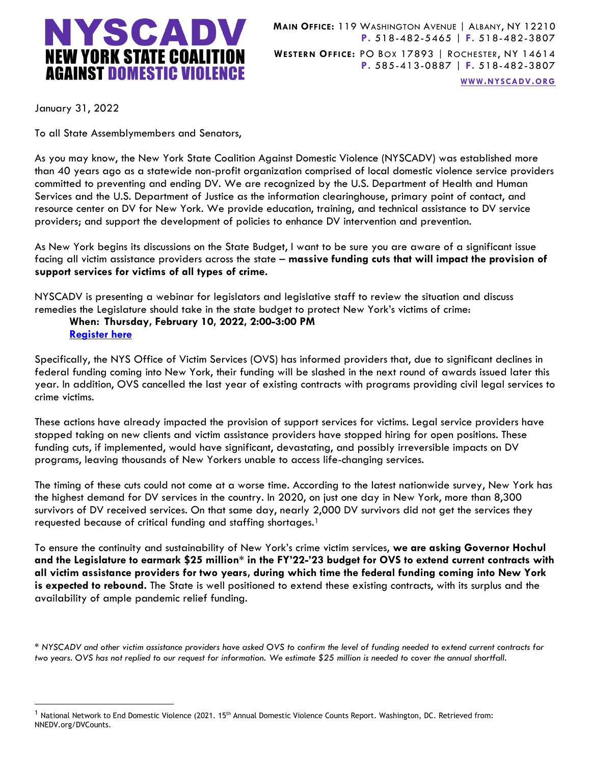

**MAIN OFFICE:** 119 WASHINGTON AVENUE | ALBANY, NY 12210 **P.** 518-482-5465 | **F.** 518-482-3807 **WESTERN OFFICE:** PO BOX 17893 | ROCHESTER, NY 14614 **P.** 585-413-0887 | **F.** 518-482-3807

**WWW.[NYSCADV](file://///server/data/Official%20Documents/NYSCADV%20Logo%20&%20Branding/2015%20Letterhead/www.nyscadv.org).ORG**

January 31, 2022

To all State Assemblymembers and Senators,

As you may know, the New York State Coalition Against Domestic Violence (NYSCADV) was established more than 40 years ago as a statewide non-profit organization comprised of local domestic violence service providers committed to preventing and ending DV. We are recognized by the U.S. Department of Health and Human Services and the U.S. Department of Justice as the information clearinghouse, primary point of contact, and resource center on DV for New York. We provide education, training, and technical assistance to DV service providers; and support the development of policies to enhance DV intervention and prevention.

As New York begins its discussions on the State Budget, I want to be sure you are aware of a significant issue facing all victim assistance providers across the state – **massive funding cuts that will impact the provision of support services for victims of all types of crime.** 

NYSCADV is presenting a webinar for legislators and legislative staff to review the situation and discuss remedies the Legislature should take in the state budget to protect New York's victims of crime:

## **When: Thursday, February 10, 2022, 2:00-3:00 PM [Register here](https://nyscadv.coalitionmanager.org/eventmanager/trainingevent/details/43)**

Specifically, the NYS Office of Victim Services (OVS) has informed providers that, due to significant declines in federal funding coming into New York, their funding will be slashed in the next round of awards issued later this year. In addition, OVS cancelled the last year of existing contracts with programs providing civil legal services to crime victims.

These actions have already impacted the provision of support services for victims. Legal service providers have stopped taking on new clients and victim assistance providers have stopped hiring for open positions. These funding cuts, if implemented, would have significant, devastating, and possibly irreversible impacts on DV programs, leaving thousands of New Yorkers unable to access life-changing services.

The timing of these cuts could not come at a worse time. According to the latest nationwide survey, New York has the highest demand for DV services in the country. In 2020, on just one day in New York, more than 8,300 survivors of DV received services. On that same day, nearly 2,000 DV survivors did not get the services they requested because of critical funding and staffing shortages.<sup>1</sup>

To ensure the continuity and sustainability of New York's crime victim services, **we are asking Governor Hochul and the Legislature to earmark \$25 million\* in the FY'22-'23 budget for OVS to extend current contracts with all victim assistance providers for two years, during which time the federal funding coming into New York is expected to rebound.** The State is well positioned to extend these existing contracts, with its surplus and the availability of ample pandemic relief funding.

*\* NYSCADV and other victim assistance providers have asked OVS to confirm the level of funding needed to extend current contracts for two years. OVS has not replied to our request for information. We estimate \$25 million is needed to cover the annual shortfall.*

 $1$  National Network to End Domestic Violence (2021. 15<sup>th</sup> Annual Domestic Violence Counts Report. Washington, DC. Retrieved from: NNEDV.org/DVCounts.